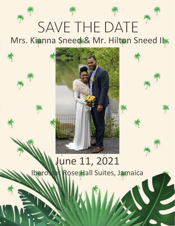

# Mrs. Kianna Sneed & Mr. Hilton Sneed II

# June 11, 2021 Iberostar Rose Hall Suites, Jamaica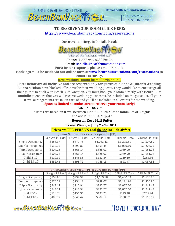

1.317.577.7775 ext 26 1.877.943.8282 ext 26

#### **TO RESERVE YOUR ROOM CLICK HERE:** <https://www.beachbumvacations.com/reservations> \_\_\_\_\_\_\_\_\_\_\_\_\_\_\_\_\_\_\_\_\_\_\_\_\_\_\_\_\_\_\_\_\_\_\_\_\_\_\_\_\_\_\_\_\_\_\_\_\_\_\_\_\_\_\_\_\_\_\_\_\_\_\_\_\_\_\_\_\_\_\_\_\_\_\_\_\_\_\_\_\_\_\_\_\_\_\_\_\_\_\_\_\_\_\_\_\_\_\_\_\_\_\_\_\_\_\_\_\_\_\_\_\_\_\_\_

Our travel concierge is Danialle Natale



"Travel the WORLD with US" Phone: 1-877-943-8282 Ext 26

Email: [Danialle@beachbumvacation.com](mailto:Danialle@beachbumvacation.com)

**For a faster response, please email Danialle.**

**Bookings must be made via our online form at www.beachbumvacations.com/reservation[s](http://www.beachbumvacation.com/reservation) to** 

**ensure accuracy.**

#### **Reservations cannot be made via phone.**

**Rates below are all inclusive and are reserved only for guests of Kianna & Hilton's Wedding!** Kianna & Hilton have blocked off rooms for their wedding guests. They would like to encourage all their guests to book with Beach Bum Vacation. You must book your room directly with **Beach Bum Danialle** to ensure that you will receive wedding guest rates, be included on the guest list, all your travel arrangements are taken care of and you'll be included in all events for the wedding.

**Space is limited so make sure to reserve your room early!**

\*ALL-INCLUSIVE\*

\* Rates are based on travel between June 7 – 14, 2021 for a minimum of 3 nights

and are PER PERSON (pp) \* **Iberostar Rose Hall Suites**

**Travel Window June 7 – 14, 2021**

#### **Prices are PER PERSON and do not include airfare**

| <b>Junior Suite - Prices are per person (PP)</b> |                  |                  |                  |                  |                  |  |  |  |
|--------------------------------------------------|------------------|------------------|------------------|------------------|------------------|--|--|--|
|                                                  | 3 Night PP Total | 4 Night PP Total | 5 Night PP Total | 6 Night PP Total | 7 Night PP Total |  |  |  |
| Single Occupancy                                 | \$658.37         | \$870.75         | \$1,083.13       | \$1,295.51       | \$1,507.89       |  |  |  |
| Double Occupancy                                 | \$530.15         | \$699.80         | \$869.45         | \$1,039.10       | \$1,208.75       |  |  |  |
| Triple Occupancy                                 | \$504.26         | \$666.14         | \$828.02         | \$989.90         | \$1,151.78       |  |  |  |
| Quad Occupancy                                   | \$504.26         | \$666.14         | \$828.02         | \$989.90         | \$1,151.78       |  |  |  |
| Child 2-12                                       | \$110.32         | \$146.58         | \$182.84         | \$219.10         | \$255.36         |  |  |  |
| Child 13-17                                      | \$452.45         | \$598.79         | \$745.13         | \$891.47         | \$1,037.81       |  |  |  |

| Junior Suite Ocean View - Prices are per person (PP) |                  |                  |                  |                  |                  |  |  |  |
|------------------------------------------------------|------------------|------------------|------------------|------------------|------------------|--|--|--|
|                                                      | 3 Night PP Total | 4 Night PP Total | 5 Night PP Total | 6 Night PP Total | 7 Night PP Total |  |  |  |
| Single Occupancy                                     | \$708.86         | \$939.37         | \$1,169.88       | \$1,400.39       | \$1,630.90       |  |  |  |
| Double Occupancy                                     | \$570.29         | \$754.18         | \$938.07         | \$1,121.96       | \$1,305.85       |  |  |  |
| Triple Occupancy                                     | \$543.11         | \$717.94         | \$892.77         | \$1,067.60       | \$1,242.43       |  |  |  |
| Quad Occupancy                                       | \$543.11         | \$717.94         | \$892.77         | \$1,067.60       | \$1,242.43       |  |  |  |
| Child 2-12                                           | \$120.70         | \$156.96         | \$193.22         | \$229.48         | \$265.74         |  |  |  |
| Child 13-17                                          | \$488.72         | \$645.42         | \$802.12         | \$958.82         | \$1,115.52       |  |  |  |

www.BEACHBUMVACATTEN.com

"TRAVFI THE WORLD WITH US"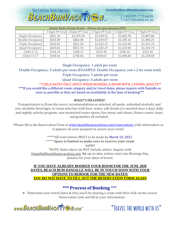YOUR CERTIFIED TRAVEL CONCIERGE - DANIALLE Danialle@BeachBumVacation.com **BEACHBUMVACATTESM** 1.317.577.7775 ext 26 1.877.943.8282 ext 26

| <b>Junior Suite Ocean Front - Prices are per person (PP)</b> |                  |                  |                  |                  |                  |  |  |  |
|--------------------------------------------------------------|------------------|------------------|------------------|------------------|------------------|--|--|--|
|                                                              | 3 Night PP Total | 4 Night PP Total | 5 Night PP Total | 6 Night PP Total | 7 Night PP Total |  |  |  |
| Single Occupancy                                             | \$811.16         | \$1,075.34       | \$1,339.52       | \$1,603.70       | \$1,867.88       |  |  |  |
| Double Occupancy                                             | \$651.89         | \$862.98         | \$1,074.07       | \$1,285.16       | \$1,496.25       |  |  |  |
| Triple Occupancy                                             | \$620.81         | \$821.54         | \$1,022.27       | \$1,223.00       | \$1,423.73       |  |  |  |
| Quad Occupancy                                               | \$620.81         | \$821.54         | \$1,022.27       | \$1,223.00       | \$1,423.73       |  |  |  |
| <b>Child 2-12</b>                                            | \$136.24         | \$180.27         | \$224.30         | \$268.33         | \$312.36         |  |  |  |
| Child 13-17                                                  | \$558.65         | \$738.66         | \$918.67         | \$1,098.68       | \$1,278.69       |  |  |  |

Single Occupancy: 1 adult per room

Double Occupancy: 2 adults per room (EXAMPLE: Double Occupancy cost x 2 for room total)

Triple Occupancy: 3 adults per room

Quad Occupancy: 4 adults per room

\*\*CHILD RATES ONLY APPLY WHEN BOOKING A ROOM WITH 2 PAYING ADULTS\*\* \*\*\*If you would like a different room category and/or travel dates, please inquire with Danialle as soon as possible as they are based on availability at the time of booking\*\*\*

#### **WHAT'S INCLUDED?**

Transportation to/from the resort, accommodations as selected, all meals, unlimited alcoholic and non-alcoholic beverages, in-room mini-bar with beer, water, soft drinks (re-stocked once a day), daily and nightly activity program, non-motorized water sports, live music and shows, fitness center, taxes and gratuities all included.

\*Please fill in the Reservation Form at [www.beachbumvacations.com/reservation](http://www.beachbumvacations.com/reservations)[s](http://www.beachbumvacations.com/reservations) with information as it appears on your passport to secure your room!

> \*\*\*\*\*All reservations MUST to be made by March 10, 2021. \*\*\*\*\* **Space is limited so make sure to reserve your room early!** \*NOTE: Rates above do NOT include airfare. Inquire with Danialle@beachbumvacation.com for up-to-date airfare rates into Montego Bay, Jamaica for your dates of travel.

**IF YOU HAVE ALREADY BOOKED YOUR ROOM FOR THE JUNE 2020 DATES, BEACH BUM DANIALLE WILL BE IN TOUCH SOON WITH YOUR OPTIONS TO REBOOK FOR THE NEW DATES! YOU DO NOT HAVE TO FILL OUT THE RESERVATION FORM AGAIN**

### **\*\*\* Process of Booking** \*\*\*

❖ Determine your travel dates & who you'll be sharing a room with then click on the secure Reservation Link and fill in your information:

www.BEACHBUMVACATTEN.com

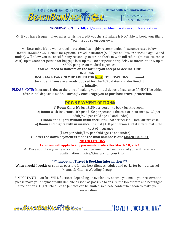

#### \*RESERVATION link[: https://www.beachbumvacations.com/reservations](https://www.beachbumvacations.com/reservations)

❖ If you have frequent flyer miles or airline credit vouchers Danialle is NOT able to book your flight. You must do so on your own.

❖ Determine if you want travel protection. It's highly recommended! Insurance rates below. TRAVEL INSURANCE: Details for Optional Travel Insurance: (\$129 per adult/\$79 per child age 12 and under), will allow you to cancel for any reason up to airline check in with full refund (minus insurance cost), up to \$800 per person for baggage loss, up to \$100 per person trip delay or interruption & up to \$5000 per person medical expenses.

> **You will need to indicate on the form if you accept or decline TRIP INSURANCE.**

#### **INSURANCE CAN ONLY BE ADDED FOR NEW RESERVATIONS. It cannot be added if you are already booked for the 2020 dates and declined it originally.**

PLEASE NOTE: Insurance is due at the time of making your initial deposit. Insurance CANNOT be added after initial deposit is made. **I strongly encourage you to purchase travel protection.**

### **DOWN PAYMENT OPTIONS:**

1) **Room Only**: It's just \$150 per person to book just the room. 2) **Room with insurance**: It's just \$150 per person + the cost of insurance (\$129 per adult/\$79 per child age 12 and under) 3) **Room and flights without insurance**: It's \$150 per person + total airfare cost.

4) **Room and flights with insurance**: It's just \$150 per person + total airfare cost + the cost of insurance

(\$129 per adult/\$79 per child age 12 and under)

❖ **After the down payment is made the final balance is due March 10, 2021.**

#### **NO EXCEPTIONS**

**Late fees will apply to any payments made after March 10, 2021**

❖ Once you place your reservation and your payment has been applied you will receive a confirmation invoice/itinerary for your trip!

#### **\*\*\* Important Travel & Booking Information \*\*\***

When should I book?: As soon as possible for the best flight schedules and perks for being a part of Kianna & Hilton's Wedding Group!

\*IMPORTANT! -- Airfare WILL fluctuate depending on availability at time you make your reservation, please make your payment with Danialle as soon as possible to ensure the lowest rate and best flight time options. Flight schedules to Jamaica can be limited so please contact her soon to make your reservation.

www.BEACHBUMVACATTEM.com

"TRAVFI THE WORLD WITH US"